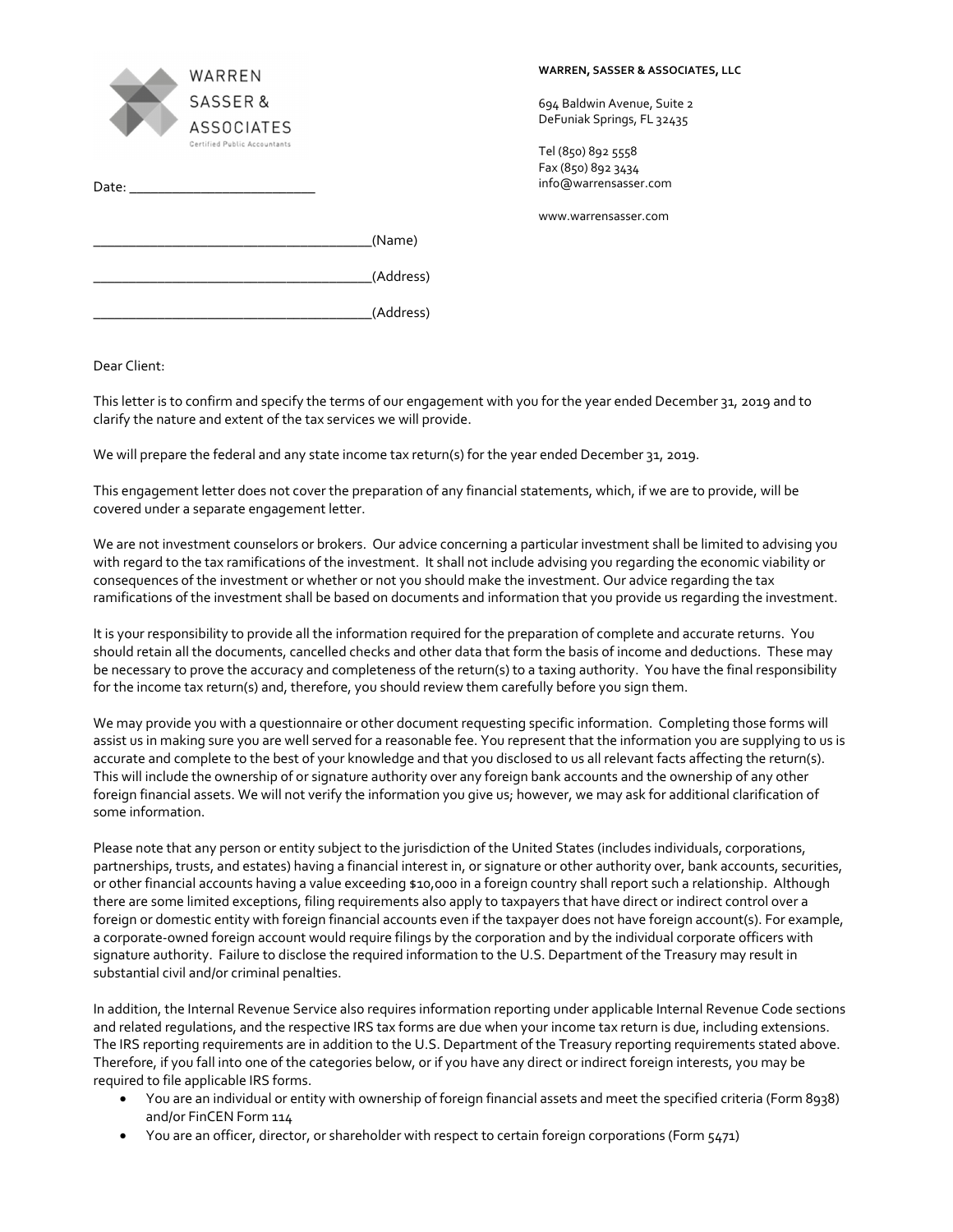| WARREN<br><b>SASSER&amp;</b><br><b>ASSOCIATES</b><br>Certified Public Accountants                                                                                                                                              |           |
|--------------------------------------------------------------------------------------------------------------------------------------------------------------------------------------------------------------------------------|-----------|
| Date: the contract of the contract of the contract of the contract of the contract of the contract of the contract of the contract of the contract of the contract of the contract of the contract of the contract of the cont |           |
|                                                                                                                                                                                                                                | (Name)    |
|                                                                                                                                                                                                                                | (Address) |
|                                                                                                                                                                                                                                | (Address) |

Dear Client:

This letter is to confirm and specify the terms of our engagement with you for the year ended December 31, 2019 and to clarify the nature and extent of the tax services we will provide.

We will prepare the federal and any state income tax return(s) for the year ended December 31, 2019.

This engagement letter does not cover the preparation of any financial statements, which, if we are to provide, will be covered under a separate engagement letter.

We are not investment counselors or brokers. Our advice concerning a particular investment shall be limited to advising you with regard to the tax ramifications of the investment. It shall not include advising you regarding the economic viability or consequences of the investment or whether or not you should make the investment. Our advice regarding the tax ramifications of the investment shall be based on documents and information that you provide us regarding the investment.

It is your responsibility to provide all the information required for the preparation of complete and accurate returns. You should retain all the documents, cancelled checks and other data that form the basis of income and deductions. These may be necessary to prove the accuracy and completeness of the return(s) to a taxing authority. You have the final responsibility for the income tax return(s) and, therefore, you should review them carefully before you sign them.

We may provide you with a questionnaire or other document requesting specific information. Completing those forms will assist us in making sure you are well served for a reasonable fee. You represent that the information you are supplying to us is accurate and complete to the best of your knowledge and that you disclosed to us all relevant facts affecting the return(s). This will include the ownership of or signature authority over any foreign bank accounts and the ownership of any other foreign financial assets. We will not verify the information you give us; however, we may ask for additional clarification of some information.

Please note that any person or entity subject to the jurisdiction of the United States (includes individuals, corporations, partnerships, trusts, and estates) having a financial interest in, or signature or other authority over, bank accounts, securities, or other financial accounts having a value exceeding \$10,000 in a foreign country shall report such a relationship. Although there are some limited exceptions, filing requirements also apply to taxpayers that have direct or indirect control over a foreign or domestic entity with foreign financial accounts even if the taxpayer does not have foreign account(s). For example, a corporate‐owned foreign account would require filings by the corporation and by the individual corporate officers with signature authority. Failure to disclose the required information to the U.S. Department of the Treasury may result in substantial civil and/or criminal penalties.

In addition, the Internal Revenue Service also requires information reporting under applicable Internal Revenue Code sections and related regulations, and the respective IRS tax forms are due when your income tax return is due, including extensions. The IRS reporting requirements are in addition to the U.S. Department of the Treasury reporting requirements stated above. Therefore, if you fall into one of the categories below, or if you have any direct or indirect foreign interests, you may be required to file applicable IRS forms.

- You are an individual or entity with ownership of foreign financial assets and meet the specified criteria (Form 8938) and/or FinCEN Form 114
- You are an officer, director, or shareholder with respect to certain foreign corporations (Form 5471)

## **WARREN, SASSER & ASSOCIATES, LLC**

694 Baldwin Avenue, Suite 2 DeFuniak Springs, FL 32435

Tel (850) 892 5558 Fax (850) 892 3434 info@warrensasser.com

www.warrensasser.com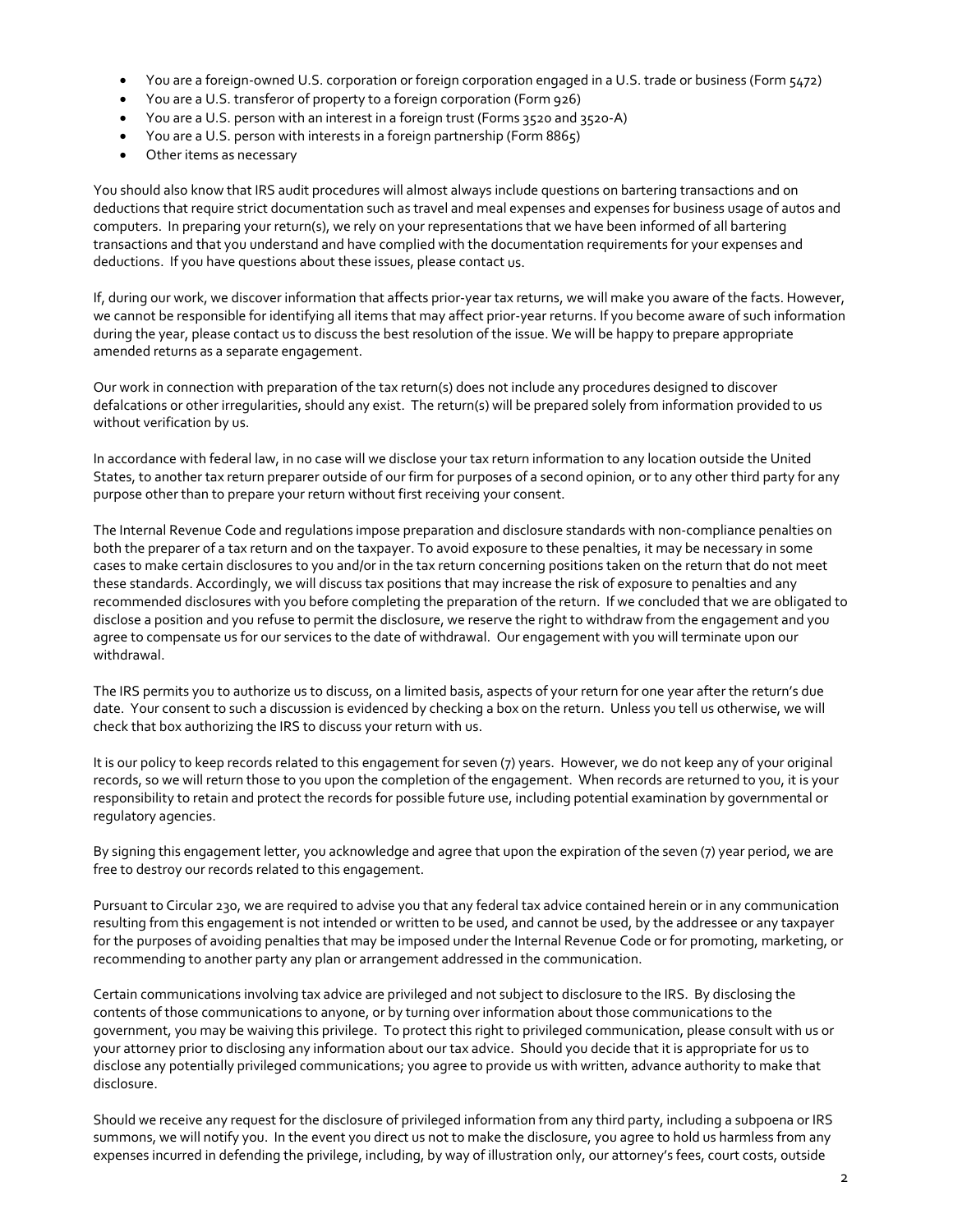- You are a foreign-owned U.S. corporation or foreign corporation engaged in a U.S. trade or business (Form 5472)
- You are a U.S. transferor of property to a foreign corporation (Form 926)
- You are a U.S. person with an interest in a foreign trust (Forms 3520 and 3520-A)
- You are a U.S. person with interests in a foreign partnership (Form 8865)
- Other items as necessary

You should also know that IRS audit procedures will almost always include questions on bartering transactions and on deductions that require strict documentation such as travel and meal expenses and expenses for business usage of autos and computers. In preparing your return(s), we rely on your representations that we have been informed of all bartering transactions and that you understand and have complied with the documentation requirements for your expenses and deductions. If you have questions about these issues, please contact us.

If, during our work, we discover information that affects prior-year tax returns, we will make you aware of the facts. However, we cannot be responsible for identifying all items that may affect prior‐year returns. If you become aware of such information during the year, please contact us to discuss the best resolution of the issue. We will be happy to prepare appropriate amended returns as a separate engagement.

Our work in connection with preparation of the tax return(s) does not include any procedures designed to discover defalcations or other irregularities, should any exist. The return(s) will be prepared solely from information provided to us without verification by us.

In accordance with federal law, in no case will we disclose your tax return information to any location outside the United States, to another tax return preparer outside of our firm for purposes of a second opinion, or to any other third party for any purpose other than to prepare your return without first receiving your consent.

The Internal Revenue Code and regulations impose preparation and disclosure standards with non‐compliance penalties on both the preparer of a tax return and on the taxpayer. To avoid exposure to these penalties, it may be necessary in some cases to make certain disclosures to you and/or in the tax return concerning positions taken on the return that do not meet these standards. Accordingly, we will discuss tax positions that may increase the risk of exposure to penalties and any recommended disclosures with you before completing the preparation of the return. If we concluded that we are obligated to disclose a position and you refuse to permit the disclosure, we reserve the right to withdraw from the engagement and you agree to compensate us for our services to the date of withdrawal. Our engagement with you will terminate upon our withdrawal.

The IRS permits you to authorize us to discuss, on a limited basis, aspects of your return for one year after the return's due date. Your consent to such a discussion is evidenced by checking a box on the return. Unless you tell us otherwise, we will check that box authorizing the IRS to discuss your return with us.

It is our policy to keep records related to this engagement for seven (7) years. However, we do not keep any of your original records, so we will return those to you upon the completion of the engagement. When records are returned to you, it is your responsibility to retain and protect the records for possible future use, including potential examination by governmental or regulatory agencies.

By signing this engagement letter, you acknowledge and agree that upon the expiration of the seven (7) year period, we are free to destroy our records related to this engagement.

Pursuant to Circular 230, we are required to advise you that any federal tax advice contained herein or in any communication resulting from this engagement is not intended or written to be used, and cannot be used, by the addressee or any taxpayer for the purposes of avoiding penalties that may be imposed under the Internal Revenue Code or for promoting, marketing, or recommending to another party any plan or arrangement addressed in the communication.

Certain communications involving tax advice are privileged and not subject to disclosure to the IRS. By disclosing the contents of those communications to anyone, or by turning over information about those communications to the government, you may be waiving this privilege. To protect this right to privileged communication, please consult with us or your attorney prior to disclosing any information about our tax advice. Should you decide that it is appropriate for us to disclose any potentially privileged communications; you agree to provide us with written, advance authority to make that disclosure.

Should we receive any request for the disclosure of privileged information from any third party, including a subpoena or IRS summons, we will notify you. In the event you direct us not to make the disclosure, you agree to hold us harmless from any expenses incurred in defending the privilege, including, by way of illustration only, our attorney's fees, court costs, outside